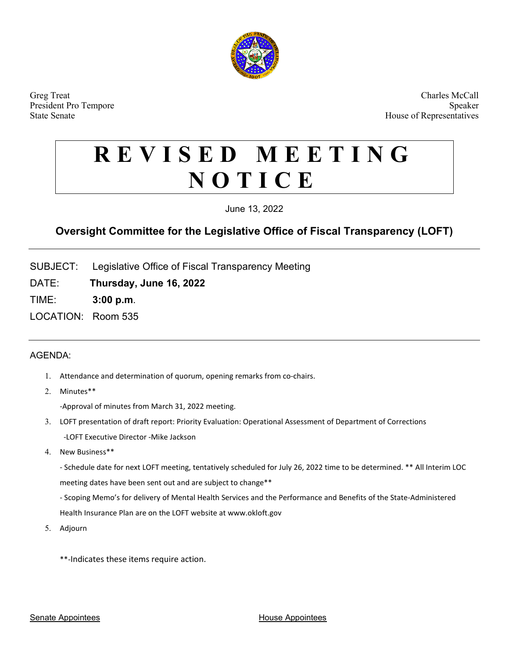

Greg Treat Charles McCall President Pro Tempore Speaker State Senate **House of Representatives House of Representatives** 

# **REVISED MEETING NOTICE**

June 13, 2022

## **Oversight Committee for the Legislative Office of Fiscal Transparency (LOFT)**

SUBJECT: Legislative Office of Fiscal Transparency Meeting

DATE: **Thursday, June 16, 2022**

TIME: **3:00 p.m**.

LOCATION: Room 535

### AGENDA:

- 1. Attendance and determination of quorum, opening remarks from co-chairs.
- 2. Minutes\*\*

-Approval of minutes from March 31, 2022 meeting.

- 3. LOFT presentation of draft report: Priority Evaluation: Operational Assessment of Department of Corrections -LOFT Executive Director -Mike Jackson
- 4. New Business\*\*

- Schedule date for next LOFT meeting, tentatively scheduled for July 26, 2022 time to be determined. \*\* All Interim LOC meeting dates have been sent out and are subject to change\*\*

- Scoping Memo's for delivery of Mental Health Services and the Performance and Benefits of the State-Administered Health Insurance Plan are on the LOFT website at www.okloft.gov

- 5. Adjourn
	- \*\*-Indicates these items require action.